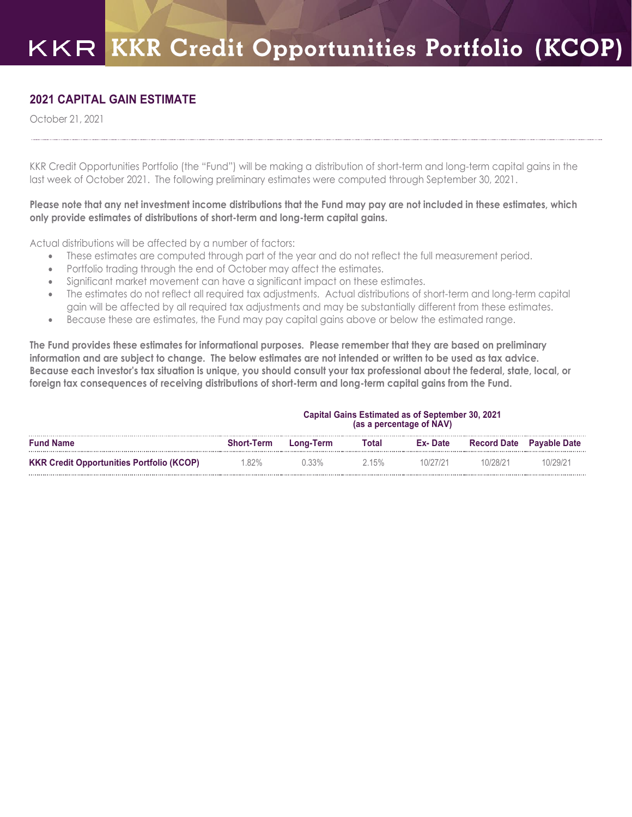## **2021 CAPITAL GAIN ESTIMATE**

October 21, 2021

KKR Credit Opportunities Portfolio (the "Fund") will be making a distribution of short-term and long-term capital gains in the last week of October 2021. The following preliminary estimates were computed through September 30, 2021.

## **Please note that any net investment income distributions that the Fund may pay are not included in these estimates, which only provide estimates of distributions of short-term and long-term capital gains.**

Actual distributions will be affected by a number of factors:

- These estimates are computed through part of the year and do not reflect the full measurement period.
- Portfolio trading through the end of October may affect the estimates.
- Significant market movement can have a significant impact on these estimates.
- The estimates do not reflect all required tax adjustments. Actual distributions of short-term and long-term capital gain will be affected by all required tax adjustments and may be substantially different from these estimates.
- Because these are estimates, the Fund may pay capital gains above or below the estimated range.

**The Fund provides these estimates for informational purposes. Please remember that they are based on preliminary information and are subject to change. The below estimates are not intended or written to be used as tax advice. Because each investor's tax situation is unique, you should consult your tax professional about the federal, state, local, or foreign tax consequences of receiving distributions of short-term and long-term capital gains from the Fund.**

|                                                  | <b>Capital Gains Estimated as of September 30, 2021</b><br>(as a percentage of NAV) |           |       |          |                    |                     |
|--------------------------------------------------|-------------------------------------------------------------------------------------|-----------|-------|----------|--------------------|---------------------|
| <b>Fund Name</b>                                 | <b>Short-Term</b>                                                                   | Long-Term | Total | Ex-Date  | <b>Record Date</b> | <b>Pavable Date</b> |
| <b>KKR Credit Opportunities Portfolio (KCOP)</b> | $.82\%$                                                                             | $0.33\%$  | 2.15% | 10/27/21 | 10/28/21           | 10/29/21            |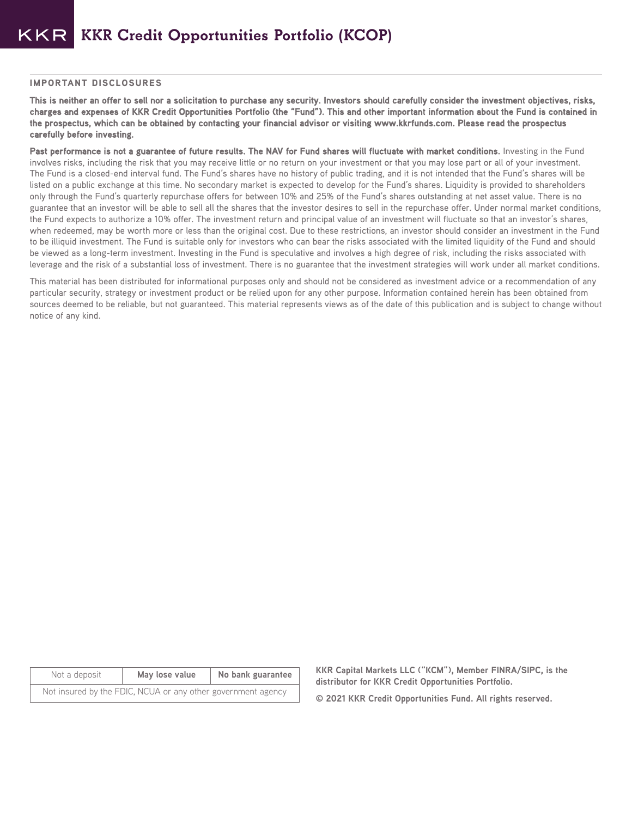## IMPORTANT DISCLOSURES

**This is neither an offer to sell nor a solicitation to purchase any security. Investors should carefully consider the investment objectives, risks, charges and expenses of KKR Credit Opportunities Portfolio (the "Fund"). This and other important information about the Fund is contained in the prospectus, which can be obtained by contacting your financial advisor or visiting www.kkrfunds.com. Please read the prospectus carefully before investing.**

Past performance is not a guarantee of future results. The NAV for Fund shares will fluctuate with market conditions. Investing in the Fund involves risks, including the risk that you may receive little or no return on your investment or that you may lose part or all of your investment. The Fund is a closed-end interval fund. The Fund's shares have no history of public trading, and it is not intended that the Fund's shares will be listed on a public exchange at this time. No secondary market is expected to develop for the Fund's shares. Liquidity is provided to shareholders only through the Fund's quarterly repurchase offers for between 10% and 25% of the Fund's shares outstanding at net asset value. There is no guarantee that an investor will be able to sell all the shares that the investor desires to sell in the repurchase offer. Under normal market conditions, the Fund expects to authorize a 10% offer. The investment return and principal value of an investment will fluctuate so that an investor's shares, when redeemed, may be worth more or less than the original cost. Due to these restrictions, an investor should consider an investment in the Fund to be illiquid investment. The Fund is suitable only for investors who can bear the risks associated with the limited liquidity of the Fund and should be viewed as a long-term investment. Investing in the Fund is speculative and involves a high degree of risk, including the risks associated with leverage and the risk of a substantial loss of investment. There is no guarantee that the investment strategies will work under all market conditions.

This material has been distributed for informational purposes only and should not be considered as investment advice or a recommendation of any particular security, strategy or investment product or be relied upon for any other purpose. Information contained herein has been obtained from sources deemed to be reliable, but not guaranteed. This material represents views as of the date of this publication and is subject to change without notice of any kind.

| Not a deposit                                                | May lose value | No bank guarantee |  |  |  |
|--------------------------------------------------------------|----------------|-------------------|--|--|--|
| Not insured by the FDIC, NCUA or any other government agency |                |                   |  |  |  |

**KKR Capital Markets LLC ("KCM"), Member FINRA/SIPC, is the distributor for KKR Credit Opportunities Portfolio.** 

**© 2021 KKR Credit Opportunities Fund. All rights reserved.**